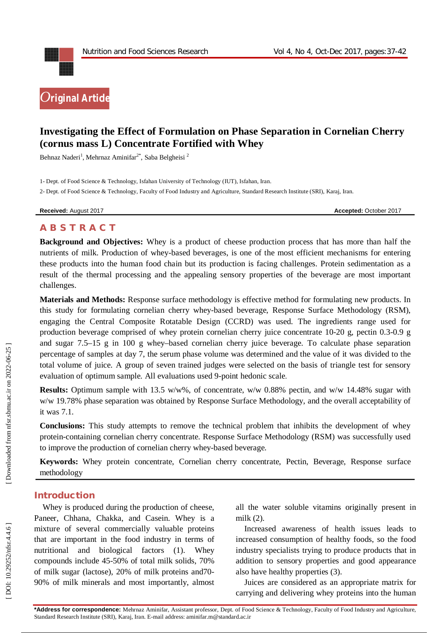

# **Investigating the Effect of Formulation on Phase Separation in Cornelian Cherry (cornus mass L) Concentrate Fortified with Whey**

Behnaz Naderi<sup>1</sup>, Mehrnaz Aminifar<sup>2\*</sup>, Saba Belgheisi<sup>2</sup>

1 - Dept. of Food Science & Technology, Isfahan University of Technology (IUT), Isfahan, Iran .

2 - Dept. of Food Science & Technology, Faculty of Food Industry and Agriculture, Standard Research Institute (SRI), Karaj, Iran .

**Received:** August 201

7 **Accepted:** October 201 7

# **A B S T R A C T**

**Background and Objectives:** Whey is a product of cheese production process that has more than half the nutrients of milk. Production of whey -based beverages, is one of the most efficient mechanisms for entering these products into the human food chain but its production is facing challenges. Protein sedimentation as a result of the thermal processing and the appealing sensory properties of the beverage are most important challenges.

**Materials and Methods:** Response surface methodology is effective method for formulating new products. In this study for formulating cornelian cherry whey -based beverage, Response Surface Methodology (RSM), engaging the Central Composite Rotatable Design (CCRD) was used. The ingredients range used for production beverage comprised of whey protein cornelian cherry juice concentrate 10 -20 g, pectin 0.3 -0.9 g and sugar 7.5 –15 g in 100 g whey –based cornelian cherry juice beverage. To calculate phase separation percentage of samples at day 7, the serum phase volume was determined and the value of it was divided to the total volume of juice. A group of seven trained judges were selected on the basis of triangle test for sensory evaluation of optimum sample. All evaluations used 9 -point hedonic scale .

**Results:** Optimum sample with 13.5 w/w%, of concentrate, w/w 0.88% pectin, and w/w 14.48% sugar with w/w 19.78% phase separation was obtained by Response Surface Methodology, and the overall acceptability of it was 7.1.

**Conclusions:** This study attempts to remove the technical problem that inhibits the development of whey protein -containing cornelian cherry concentrate. Response Surface Methodology (RSM) was successfully used to improve the production of cornelian cherry whey -based beverage.

**Keywords:** Whey protein concentrate, Cornelian cherry concentrate, Pectin, Beverage, Response surface methodology

## **Introduction**

Whey is produced during the production of cheese, Paneer, Chhana, Chakka, and Casein. Whey is a mixture of several commercially valuable proteins that are important in the food industry in terms of nutritional and biological factors (1). Whey compounds include 45 -50% of total milk solids, 70% of milk sugar (lactose), 20% of milk proteins and70 - 90% of milk minerals and most importantly, almost

all the water soluble vitamins originally present in milk (2).

Increased awareness of health issues leads to increased consumption of healthy foods, so the food industry specialists trying to produce products that in addition to sensory properties and good appearance also have healthy properties (3).

Juices are considered as an appropriate matrix for carrying and delivering whey proteins into the human

**\*Address for correspondence:** Mehrnaz Aminifar, Assistant professor, Dept. of Food Science & Technology, Faculty of Food Industry and Agriculture, Standard Research Institute (SRI), Karaj, Iran . E -mail address: aminifar.m@standard.ac.ir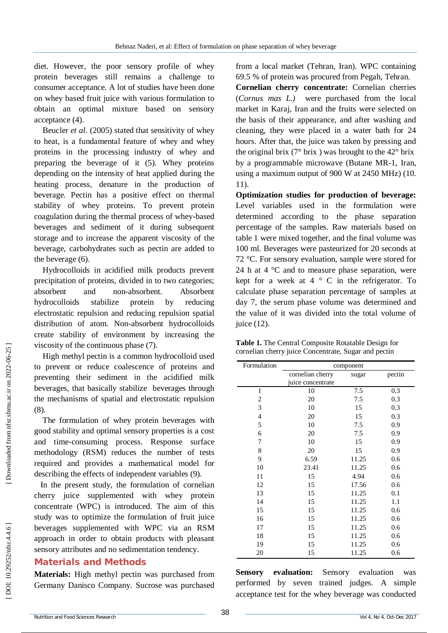diet. However, the poor sensory profile of whey protein beverages still remains a challenge to consumer acceptance. A lot of studies have been done on whey based fruit juice with various formulation to obtain an optimal mixture based on sensory acceptance (4).

Beucler *et al*. (2005) stated that sensitivity of whey to heat, is a fundamental feature of whey and whey proteins in the processing industry of whey and preparing the beverage of it (5). Whey proteins depending on the intensity of heat applied during the heating process, denature in the production of beverage. Pectin has a positive effect on thermal stability of whey proteins. To prevent protein coagulation during the thermal process of whey -based beverages and sediment of it during subsequent storage and to increase the apparent viscosity of the beverage, carbohydrates such as pectin are added to the beverage (6).

Hydrocolloids in acidified milk products prevent precipitation of proteins, divided in to two categories; absorbent and non-absorbent. Absorbent hydrocolloids stabilize protein by reducing electrostatic repulsion and reducing repulsion spatial distribution of atom. Non -absorbent hydrocolloids create stability of environment by increasing the viscosity of the continuous phase (7).

High methyl pectin is a common hydrocolloid used to prevent or reduce coalescence of proteins and preventing their sediment in the acidified milk beverages, that basically stabilize beverages through the mechanisms of spatial and electrostatic repulsion (8).

The formulation of whey protein beverages with good stability and optimal sensory properties is a cost and time -consuming process. Response surface methodology (RSM) reduces the number of tests required and provides a mathematical model for describing the effects of independent variables (9).

In the present study, the formulation of cornelian cherry juice supplemented with whey protein concentrate (WPC) is introduced. The aim of this study was to optimize the formulation of fruit juice beverages supplemented with WPC via an RSM approach in order to obtain products with pleasant sensory attributes and no sedimentation tendency .

## **Material s and Methods**

**Materials :** High methyl pectin was purchased from Germany Danisco Company. Sucrose was purchased

from a local market (Tehran, Iran). WPC containing 69.5 % of protein was procured from Pegah, Tehran.

**Cornelian cherry concentrate:** Cornelian cherries (*Cornus mas L.)* were purchased from the local market in Karaj, Iran and the fruits were selected on the basis of their appearance, and after washing and cleaning, they were placed in a water bath for 24 hours. After that, the juice was taken by pressing and the original brix ( $7^{\circ}$  brix) was brought to the  $42^{\circ}$  brix by a programmable microwave (Butane M R -1, Iran, using a maximum output of 900 W at 2450 MHz) (10. 11) .

**Optimization studies for production of beverage:**  Level variables used in the formulation were determined according to the phase separation percentage of the samples. Raw materials based on table 1 were mixed together, and the final volume was 100 ml. Beverages were pasteurized for 20 seconds at 72 °C. For sensory evaluation, sample were stored for 24 h at  $4 \degree$ C and to measure phase separation, were kept for a week at  $4 \circ C$  in the refrigerator. To calculate phase separation percentage of samples at day 7, the serum phase volume was determined and the value of it was divided into the total volume of juice  $(12)$ .

| Table 1. The Central Composite Rotatable Design for  |
|------------------------------------------------------|
| cornelian cherry juice Concentrate, Sugar and pectin |

| Formulation              | component                             |       |        |  |
|--------------------------|---------------------------------------|-------|--------|--|
|                          | cornelian cherry<br>juice concentrate | sugar | pectin |  |
| $\mathbf{1}$             | 10                                    | 7.5   | 0.3    |  |
| $\overline{\mathbf{c}}$  | 20                                    | 7.5   | 0.3    |  |
| 3                        | 10                                    | 15    | 0.3    |  |
| $\overline{\mathcal{L}}$ | 20                                    | 15    | 0.3    |  |
| 5                        | 10                                    | 7.5   | 0.9    |  |
| 6                        | 20                                    | 7.5   | 0.9    |  |
| 7                        | 10                                    | 15    | 0.9    |  |
| 8                        | 20                                    | 15    | 0.9    |  |
| 9                        | 6.59                                  | 11.25 | 0.6    |  |
| 10                       | 23.41                                 | 11.25 | 0.6    |  |
| 11                       | 15                                    | 4.94  | 0.6    |  |
| 12                       | 15                                    | 17.56 | 0.6    |  |
| 13                       | 15                                    | 11.25 | 0.1    |  |
| 14                       | 15                                    | 11.25 | 1.1    |  |
| 15                       | 15                                    | 11.25 | 0.6    |  |
| 16                       | 15                                    | 11.25 | 0.6    |  |
| 17                       | 15                                    | 11.25 | 0.6    |  |
| 18                       | 15                                    | 11.25 | 0.6    |  |
| 19                       | 15                                    | 11.25 | 0.6    |  |
| 20                       | 15                                    | 11.25 | 0.6    |  |

**Sensory evaluation:** Sensory evaluation was performed by seven trained judges. A simple acceptance test for the whey beverage was conducted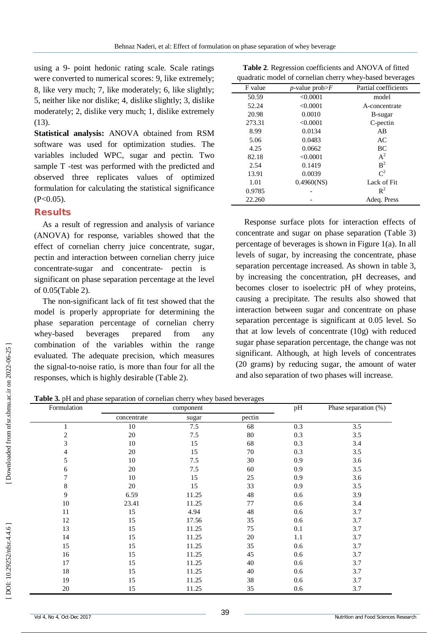using a 9 - point hedonic rating scale. Scale ratings were converted to numerical scores: 9, like extremely; 8, like very much; 7, like moderately; 6, like slightly; 5, neither like nor dislike; 4, dislike slightly; 3, dislike moderately; 2, dislike very much; 1, dislike extremely  $(13)$ .

**Statistical analysis:** ANOVA obtained from RSM software was used for optimization studies. The variables included WPC, sugar and pectin. Two sample T -test was performed with the predicted and observed three replicates values of optimized formulation for calculating the statistical significance  $(P<0.05)$ .

## **Results**

As a result of regression and analysis of variance (ANOVA) for response, variables showed that the effect of cornelian cherry juice concentrate, sugar, pectin and interaction between cornelian cherry juice concentrate -sugar and concentrate - pectin is significant on phase separation percentage at the level of 0.05(Table 2).

The non -significant lack of fit test showed that the model is properly appropriate for determining the phase separation percentage of cornelian cherry whey-based beverages prepared from any combination of the variables within the range evaluated. The adequate precision, which measures the signal -to -noise ratio, is more than four for all the responses, which is highly desirable (Table 2).

**Table 2** . Regression coefficients and ANOVA of fitted quadratic model of cornelian cherry whey -based beverages

| F value | <i>p</i> -value prob $\geq$ F | Partial coefficients |
|---------|-------------------------------|----------------------|
| 50.59   | < 0.0001                      | model                |
| 52.24   | < 0.0001                      | A-concentrate        |
| 20.98   | 0.0010                        | B-sugar              |
| 273.31  | < 0.0001                      | C-pectin             |
| 8.99    | 0.0134                        | AB                   |
| 5.06    | 0.0483                        | AC                   |
| 4.25    | 0.0662                        | BC                   |
| 82.18   | < 0.0001                      | $A^2$                |
| 2.54    | 0.1419                        | B <sup>2</sup>       |
| 13.91   | 0.0039                        | $C^2$                |
| 1.01    | $0.4960$ (NS)                 | Lack of Fit          |
| 0.9785  |                               | $\mathbb{R}^2$       |
| 22.260  |                               | Adeq. Press          |

Response surface plots for interaction effects of concentrate and sugar on phase separation (Table 3) percentage of beverages is shown in Figure 1(a). In all levels of sugar, by increasing the concentrate, phase separation percentage increased. As shown in table 3, by increasing the concentration, pH decreases, and becomes closer to isoelectric pH of whey proteins, causing a precipitate. The results also showed that interaction between sugar and concentrate on phase separation percentage is significant at 0.05 level. So that at low levels of concentrate (10g) with reduced sugar phase separation percentage, the change was not significant. Although, at high levels of concentrates (20 grams) by reducing sugar, the amount of water and also separation of two phases will increase.

**Table 3 .** pH and phase separation of cornelian cherry whey based beverages

| Formulation    |             | component |        | pH  | Phase separation (%) |
|----------------|-------------|-----------|--------|-----|----------------------|
|                | concentrate | sugar     | pectin |     |                      |
|                | 10          | 7.5       | 68     | 0.3 | 3.5                  |
| $\overline{c}$ | $20\,$      | 7.5       | 80     | 0.3 | 3.5                  |
| 3              | 10          | 15        | 68     | 0.3 | 3.4                  |
| 4              | 20          | 15        | 70     | 0.3 | 3.5                  |
| 5              | 10          | 7.5       | 30     | 0.9 | 3.6                  |
| 6              | 20          | 7.5       | 60     | 0.9 | 3.5                  |
| 7              | 10          | 15        | 25     | 0.9 | 3.6                  |
| 8              | $20\,$      | 15        | 33     | 0.9 | 3.5                  |
| 9              | 6.59        | 11.25     | 48     | 0.6 | 3.9                  |
| 10             | 23.41       | 11.25     | 77     | 0.6 | 3.4                  |
| 11             | 15          | 4.94      | 48     | 0.6 | 3.7                  |
| 12             | 15          | 17.56     | 35     | 0.6 | 3.7                  |
| 13             | 15          | 11.25     | 75     | 0.1 | 3.7                  |
| 14             | 15          | 11.25     | 20     | 1.1 | 3.7                  |
| 15             | 15          | 11.25     | 35     | 0.6 | 3.7                  |
| 16             | 15          | 11.25     | 45     | 0.6 | 3.7                  |
| 17             | 15          | 11.25     | 40     | 0.6 | 3.7                  |
| 18             | 15          | 11.25     | 40     | 0.6 | 3.7                  |
| 19             | 15          | 11.25     | 38     | 0.6 | 3.7                  |
| $20\,$         | 15          | 11.25     | 35     | 0.6 | 3.7                  |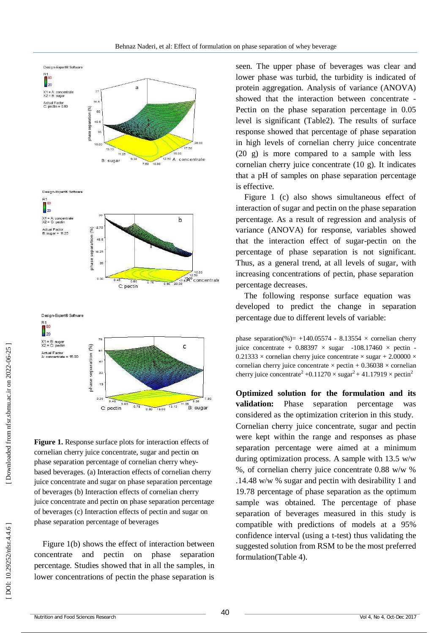

**Figure 1.** Response surface plots for interaction effects of cornelian cherry juice concentrate, sugar and pectin on phase separation percentage of cornelian cherry whey based beverages. (a) Interaction effects of cornelian cherry juice concentrate and sugar on phase separation percentage of beverages (b) Interaction effects of cornelian cherry juice concentrate and pectin on phase separation percentage of beverages (c) Interaction effects of pectin and sugar on phase separation percentage of beverages

Figure 1(b) shows the effect of interaction between concentrate and pectin on phase separation percentage. Studies showed that in all the samples, in lower concentrations of pectin the phase separation is seen. The upper phase of beverages was clear and lower phase was turbid, the turbidity is indicated of protein aggregation. Analysis of variance (ANOVA) showed that the interaction between concentrate - Pectin on the phase separation percentage in 0.05 level is significant (Table2). The results of surface response showed that percentage of phase separation in high levels of cornelian cherry juice concentrate (20 g) is more compared to a sample with less cornelian cherry juice concentrate (10 g). It indicates that a pH of samples on phase separation percentage is effective.

Figure 1 (c) also shows simultaneous effect of interaction of sugar and pectin on the phase separation percentage. As a result of regression and analysis of variance (ANOVA) for response, variables showed that the interaction effect of sugar -pectin on the percentage of phase separation is not significant. Thus, as a general trend, at all levels of sugar, with increasing concentrations of pectin, phase separation percentage decreases.

The following response surface equation was developed to predict the change in separation percentage due to different levels of variable:

phase separation(%) =  $+140.05574 - 8.13554 \times$  cornelian cherry juice concentrate +  $0.88397 \times \text{ sugar}$  -108.17460  $\times$  pectin - $0.21333 \times$  cornelian cherry juice concentrate  $\times$  sugar + 2.00000  $\times$ cornelian cherry juice concentrate  $\times$  pectin + 0.36038  $\times$  cornelian cherry juice concentrate<sup>2</sup> +0.11270  $\times$  sugar<sup>2</sup> + 41.17919  $\times$  pectin<sup>2</sup>

**Optimized solution for the formulation and its validation:** Phase separation percentage was considered as the optimization criterion in this study. Cornelian cherry juice concentrate, sugar and pectin were kept within the range and responses as phase separation percentage were aimed at a minimum during optimization process. A sample with 13.5 w/w %, of cornelian cherry juice concentrate 0.88 w/w % .14.48 w/w % sugar and pectin with desirability 1 and 19.78 percentage of phase separation as the optimum sample was obtained. The percentage of phase separation of beverages measured in this study is compatible with predictions of models at a 95% confidence interval (using a t -test) thus validating the suggested solution from RSM to be the most preferred formulation(Table 4).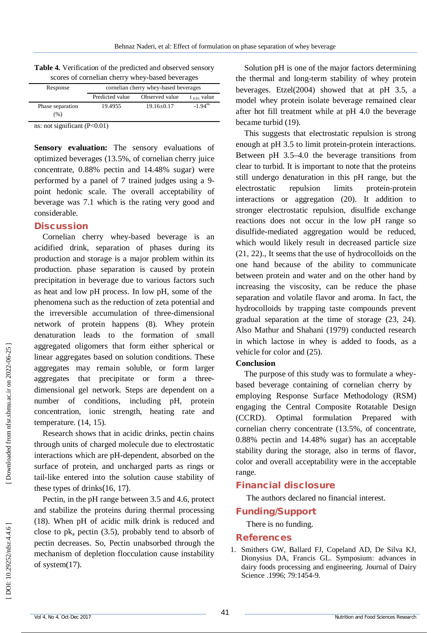| scores of cornelian cherry whey-based beverages |                                       |                |                       |  |
|-------------------------------------------------|---------------------------------------|----------------|-----------------------|--|
| Response                                        | cornelian cherry whey-based beverages |                |                       |  |
|                                                 | Predicted value                       | Observed value | $t_{0.01}$ value      |  |
| Phase separation                                | 19.4955                               | $19.16 + 0.17$ | $-1.94$ <sup>ns</sup> |  |
| (%)                                             |                                       |                |                       |  |

**Table 4 .** Verification of the predicted and observed sensory

ns: not significant (P<0.01)

Sensory evaluation: The sensory evaluations of optimized beverages (13.5%, of cornelian cherry juice concentrate, 0.88% pectin and 14.48% sugar) were performed by a panel of 7 trained judges using a 9 point hedonic scale. The overall acceptability of beverage was 7.1 which is the rating very good and considerable.

#### **Discussion**

Cornelian cherry whey -based beverage is an acidified drink, separation of phases during its production and storage is a major problem within its production. phase separation is caused by protein precipitation in beverage due to various factors such as heat and low pH process. In low pH, some of the phenomena such as the reduction of zeta potential and the irreversible accumulation of three -dimensional network of protein happens (8). Whey protein denaturation leads to the formation of small aggregated oligomers that form either spherical or linear aggregates based on solution conditions. These aggregates may remain soluble, or form larger aggregates that precipitate or form a three dimensional gel network. Steps are dependent on a number of conditions, including pH, protein concentration, ionic strength, heating rate and temperature. (14, 15).

Research shows that in acidic drinks, pectin chains through units of charged molecule due to electrostatic interactions which are pH -dependent, absorbed on the surface of protein, and uncharged parts as rings or tail -like entered into the solution cause stability of these types of drinks (16, 17).

Pectin, in the pH range between 3.5 and 4.6, protect and stabilize the proteins during thermal processing (18). When pH of acidic milk drink is reduced and close to  $pk_a$  pectin (3.5), probably tend to absorb of pectin decreases. So, Pectin unabsorbed through the mechanism of depletion flocculation cause instability of system(17).

Solution pH is one of the major factors determining the thermal and long -term stability of whey protein beverages. Etzel(2004) showed that at pH 3.5, a model whey protein isolate beverage remained clear after hot fill treatment while at pH 4.0 the beverage became turbid (19).

This suggests that electrostatic repulsion is strong enough at pH 3.5 to limit protein -protein interactions. Between pH 3.5 –4.0 the beverage transitions from clear to turbid. It is important to note that the proteins still undergo denaturation in this pH range, but the electrostatic repulsion limits protein-protein interactions or aggregation (20). It addition to stronger electrostatic repulsion, disulfide exchange reactions does not occur in the low pH range so disulfide -mediated aggregation would be reduced, which would likely result in decreased particle size (21, 22)., It seems that the use of hydrocolloids on the one hand because of the ability to communicate between protein and water and on the other hand by increasing the viscosity, can be reduce the phase separation an d volatile flavor and aroma. In fact, the hydrocolloids by trapping taste compounds prevent gradual separation at the time of storage (23, 24). Also Mathur and Shahani (1979) conducted research in which lactose in whey is added to foods, as a vehicle for color and (25).

#### **Conclusion**

The purpose of this study was to formulate a whey based beverage containing of cornelian cherry by employing Response Surface Methodology (RSM) engaging the Central Composite Rotatable Design (CCRD). Optimal formulation Prepared with cornelian cherry concentrate (13.5%, of concentrate, 0.88% pectin and 14.48% sugar) has an acceptable stability during the storage, also in terms of flavor, color and overall acceptability were in the acceptable range.

# **Financial disclosure**

The authors declared no financial interest.

# **Funding/Support**

There is no funding.

## **References**

1 . Smithers GW, Ballard FJ, Copeland AD, De Silva KJ, Dionysius DA, Francis GL. Symposium: advances in dairy foods processing and engineering. Journal of Dairy Science .1996; 79:1454 -9.